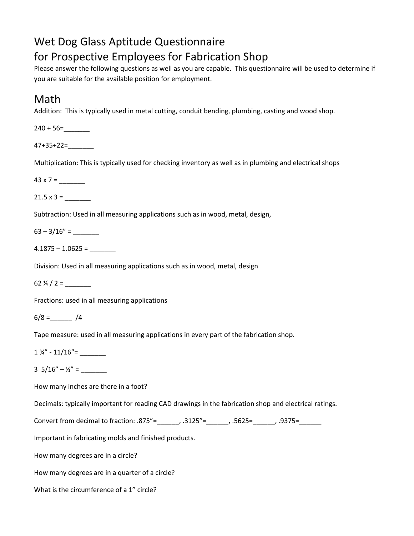# Wet Dog Glass Aptitude Questionnaire for Prospective Employees for Fabrication Shop

Please answer the following questions as well as you are capable. This questionnaire will be used to determine if you are suitable for the available position for employment.

## Math

Addition: This is typically used in metal cutting, conduit bending, plumbing, casting and wood shop.

 $240 + 56 =$ 

47+35+22=\_\_\_\_\_\_\_

Multiplication: This is typically used for checking inventory as well as in plumbing and electrical shops

 $43 \times 7 =$ 

 $21.5 \times 3 =$ 

Subtraction: Used in all measuring applications such as in wood, metal, design,

 $63 - 3/16" =$ 

 $4.1875 - 1.0625 =$ 

Division: Used in all measuring applications such as in wood, metal, design

62  $\frac{1}{4}$  / 2 =

Fractions: used in all measuring applications

 $6/8 =$   $\frac{1}{4}$ 

Tape measure: used in all measuring applications in every part of the fabrication shop.

1 ¾" - 11/16"= \_\_\_\_\_\_\_

 $3\;\;5/16'' - Y_2'' =$ 

How many inches are there in a foot?

Decimals: typically important for reading CAD drawings in the fabrication shop and electrical ratings.

Convert from decimal to fraction: .875"=  $\qquad \qquad$ , .3125"=  $\qquad \qquad$ , .5625=  $\qquad \qquad$ , .9375=

Important in fabricating molds and finished products.

How many degrees are in a circle?

How many degrees are in a quarter of a circle?

What is the circumference of a 1" circle?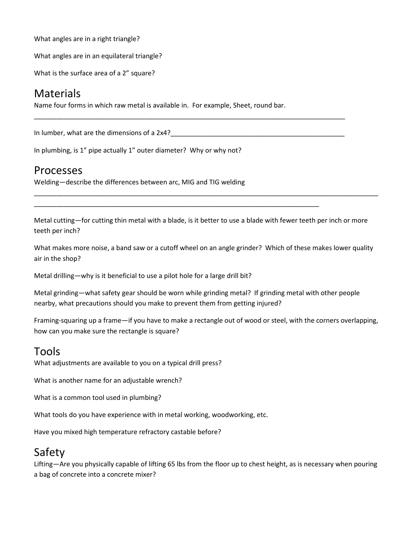What angles are in a right triangle?

What angles are in an equilateral triangle?

What is the surface area of a 2" square?

## Materials

Name four forms in which raw metal is available in. For example, Sheet, round bar.

In lumber, what are the dimensions of a 2x4?\_\_\_\_\_\_\_\_\_\_\_\_\_\_\_\_\_\_\_\_\_\_\_\_\_\_\_\_\_\_\_\_\_\_\_\_\_\_\_\_\_\_\_\_\_\_\_

In plumbing, is 1" pipe actually 1" outer diameter? Why or why not?

#### Processes

Welding—describe the differences between arc, MIG and TIG welding

Metal cutting—for cutting thin metal with a blade, is it better to use a blade with fewer teeth per inch or more teeth per inch?

\_\_\_\_\_\_\_\_\_\_\_\_\_\_\_\_\_\_\_\_\_\_\_\_\_\_\_\_\_\_\_\_\_\_\_\_\_\_\_\_\_\_\_\_\_\_\_\_\_\_\_\_\_\_\_\_\_\_\_\_\_\_\_\_\_\_\_\_\_\_\_\_\_\_\_\_\_

\_\_\_\_\_\_\_\_\_\_\_\_\_\_\_\_\_\_\_\_\_\_\_\_\_\_\_\_\_\_\_\_\_\_\_\_\_\_\_\_\_\_\_\_\_\_\_\_\_\_\_\_\_\_\_\_\_\_\_\_\_\_\_\_\_\_\_\_\_\_\_\_\_\_\_\_\_\_\_\_\_\_\_\_\_\_\_\_\_\_\_\_\_

\_\_\_\_\_\_\_\_\_\_\_\_\_\_\_\_\_\_\_\_\_\_\_\_\_\_\_\_\_\_\_\_\_\_\_\_\_\_\_\_\_\_\_\_\_\_\_\_\_\_\_\_\_\_\_\_\_\_\_\_\_\_\_\_\_\_\_\_\_\_\_\_\_\_\_\_\_\_\_\_\_\_\_\_

What makes more noise, a band saw or a cutoff wheel on an angle grinder? Which of these makes lower quality air in the shop?

Metal drilling—why is it beneficial to use a pilot hole for a large drill bit?

Metal grinding—what safety gear should be worn while grinding metal? If grinding metal with other people nearby, what precautions should you make to prevent them from getting injured?

Framing-squaring up a frame—if you have to make a rectangle out of wood or steel, with the corners overlapping, how can you make sure the rectangle is square?

### Tools

What adjustments are available to you on a typical drill press?

What is another name for an adjustable wrench?

What is a common tool used in plumbing?

What tools do you have experience with in metal working, woodworking, etc.

Have you mixed high temperature refractory castable before?

## Safety

Lifting—Are you physically capable of lifting 65 lbs from the floor up to chest height, as is necessary when pouring a bag of concrete into a concrete mixer?